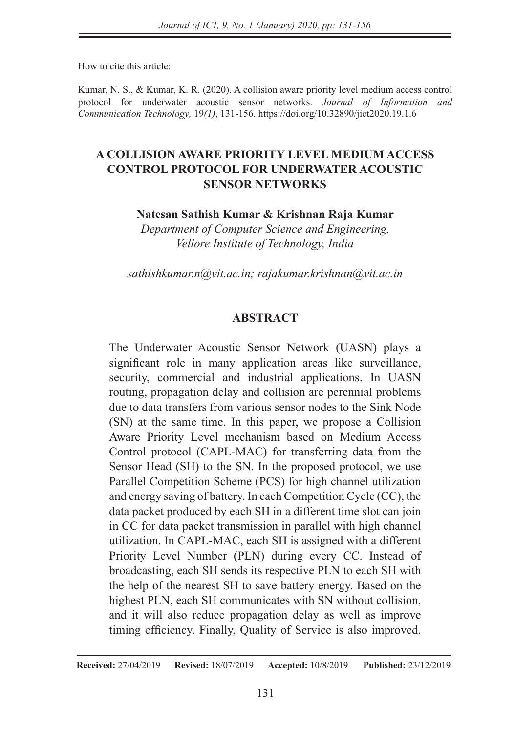How to cite this article:

Kumar, N. S., & Kumar, K. R. (2020). A collision aware priority level medium access control protocol for underwater acoustic sensor networks. *Journal of Information and Communication Technology,* 19*(1)*, 131-156. https://doi.org/10.32890/jict2020.19.1.6

### **A COLLISION AWARE PRIORITY LEVEL MEDIUM ACCESS CONTROL PROTOCOL FOR UNDERWATER ACOUSTIC SENSOR NETWORKS**

**Natesan Sathish Kumar & Krishnan Raja Kumar**

*Department of Computer Science and Engineering, Vellore Institute of Technology, India*

*sathishkumar.n@vit.ac.in; rajakumar.krishnan@vit.ac.in*

### **ABSTRACT**

The Underwater Acoustic Sensor Network (UASN) plays a significant role in many application areas like surveillance, security, commercial and industrial applications. In UASN routing, propagation delay and collision are perennial problems due to data transfers from various sensor nodes to the Sink Node (SN) at the same time. In this paper, we propose a Collision Aware Priority Level mechanism based on Medium Access Control protocol (CAPL-MAC) for transferring data from the Sensor Head (SH) to the SN. In the proposed protocol, we use Parallel Competition Scheme (PCS) for high channel utilization and energy saving of battery. In each Competition Cycle (CC), the data packet produced by each SH in a different time slot can join in CC for data packet transmission in parallel with high channel utilization. In CAPL-MAC, each SH is assigned with a different Priority Level Number (PLN) during every CC. Instead of broadcasting, each SH sends its respective PLN to each SH with the help of the nearest SH to save battery energy. Based on the highest PLN, each SH communicates with SN without collision, and it will also reduce propagation delay as well as improve timing efficiency. Finally, Quality of Service is also improved.

**Received:** 27/04/2019 **Revised:** 18/07/2019 **Accepted:** 10/8/2019 **Published:** 23/12/2019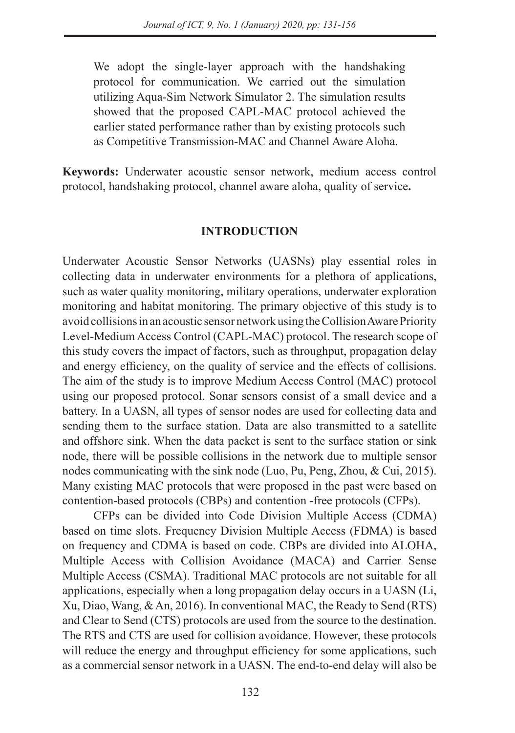We adopt the single-layer approach with the handshaking protocol for communication. We carried out the simulation utilizing Aqua-Sim Network Simulator 2. The simulation results showed that the proposed CAPL-MAC protocol achieved the earlier stated performance rather than by existing protocols such as Competitive Transmission-MAC and Channel Aware Aloha.

**Keywords:** Underwater acoustic sensor network, medium access control protocol, handshaking protocol, channel aware aloha, quality of service**.**

### **INTRODUCTION**

Underwater Acoustic Sensor Networks (UASNs) play essential roles in collecting data in underwater environments for a plethora of applications, such as water quality monitoring, military operations, underwater exploration monitoring and habitat monitoring. The primary objective of this study is to avoid collisions in an acoustic sensor network using the Collision Aware Priority Level-Medium Access Control (CAPL-MAC) protocol. The research scope of this study covers the impact of factors, such as throughput, propagation delay and energy efficiency, on the quality of service and the effects of collisions. The aim of the study is to improve Medium Access Control (MAC) protocol using our proposed protocol. Sonar sensors consist of a small device and a battery. In a UASN, all types of sensor nodes are used for collecting data and sending them to the surface station. Data are also transmitted to a satellite and offshore sink. When the data packet is sent to the surface station or sink node, there will be possible collisions in the network due to multiple sensor nodes communicating with the sink node (Luo, Pu, Peng, Zhou, & Cui, 2015). Many existing MAC protocols that were proposed in the past were based on contention-based protocols (CBPs) and contention -free protocols (CFPs).

CFPs can be divided into Code Division Multiple Access (CDMA) based on time slots. Frequency Division Multiple Access (FDMA) is based on frequency and CDMA is based on code. CBPs are divided into ALOHA, Multiple Access with Collision Avoidance (MACA) and Carrier Sense Multiple Access (CSMA). Traditional MAC protocols are not suitable for all applications, especially when a long propagation delay occurs in a UASN (Li, Xu, Diao, Wang, & An, 2016). In conventional MAC, the Ready to Send (RTS) and Clear to Send (CTS) protocols are used from the source to the destination. The RTS and CTS are used for collision avoidance. However, these protocols will reduce the energy and throughput efficiency for some applications, such as a commercial sensor network in a UASN. The end-to-end delay will also be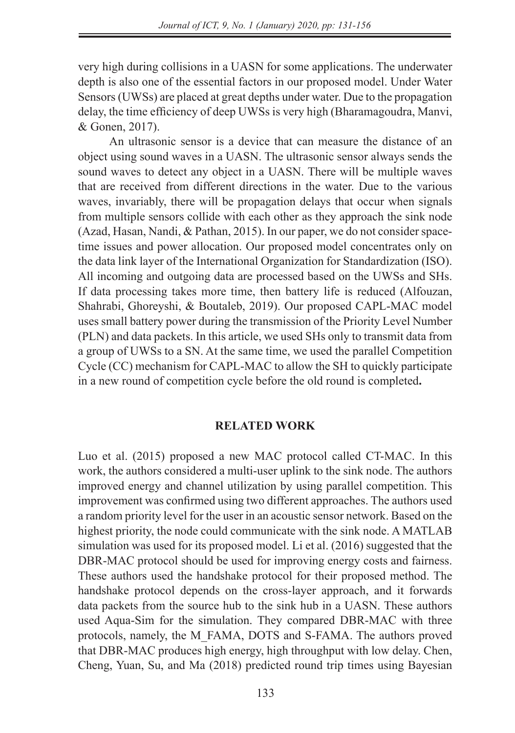very high during collisions in a UASN for some applications. The underwater depth is also one of the essential factors in our proposed model. Under Water Sensors (UWSs) are placed at great depths under water. Due to the propagation delay, the time efficiency of deep UWSs is very high (Bharamagoudra, Manvi, & Gonen, 2017).

An ultrasonic sensor is a device that can measure the distance of an object using sound waves in a UASN. The ultrasonic sensor always sends the sound waves to detect any object in a UASN. There will be multiple waves that are received from different directions in the water. Due to the various waves, invariably, there will be propagation delays that occur when signals from multiple sensors collide with each other as they approach the sink node (Azad, Hasan, Nandi, & Pathan, 2015). In our paper, we do not consider spacetime issues and power allocation. Our proposed model concentrates only on the data link layer of the International Organization for Standardization (ISO). All incoming and outgoing data are processed based on the UWSs and SHs. If data processing takes more time, then battery life is reduced (Alfouzan, Shahrabi, Ghoreyshi, & Boutaleb, 2019). Our proposed CAPL-MAC model uses small battery power during the transmission of the Priority Level Number (PLN) and data packets. In this article, we used SHs only to transmit data from a group of UWSs to a SN. At the same time, we used the parallel Competition Cycle (CC) mechanism for CAPL-MAC to allow the SH to quickly participate in a new round of competition cycle before the old round is completed**.**

#### **RELATED WORK**

Luo et al. (2015) proposed a new MAC protocol called CT-MAC. In this work, the authors considered a multi-user uplink to the sink node. The authors improved energy and channel utilization by using parallel competition. This improvement was confirmed using two different approaches. The authors used a random priority level for the user in an acoustic sensor network. Based on the highest priority, the node could communicate with the sink node. A MATLAB simulation was used for its proposed model. Li et al. (2016) suggested that the DBR-MAC protocol should be used for improving energy costs and fairness. These authors used the handshake protocol for their proposed method. The handshake protocol depends on the cross-layer approach, and it forwards data packets from the source hub to the sink hub in a UASN. These authors used Aqua-Sim for the simulation. They compared DBR-MAC with three protocols, namely, the M\_FAMA, DOTS and S-FAMA. The authors proved that DBR-MAC produces high energy, high throughput with low delay. Chen, Cheng, Yuan, Su, and Ma (2018) predicted round trip times using Bayesian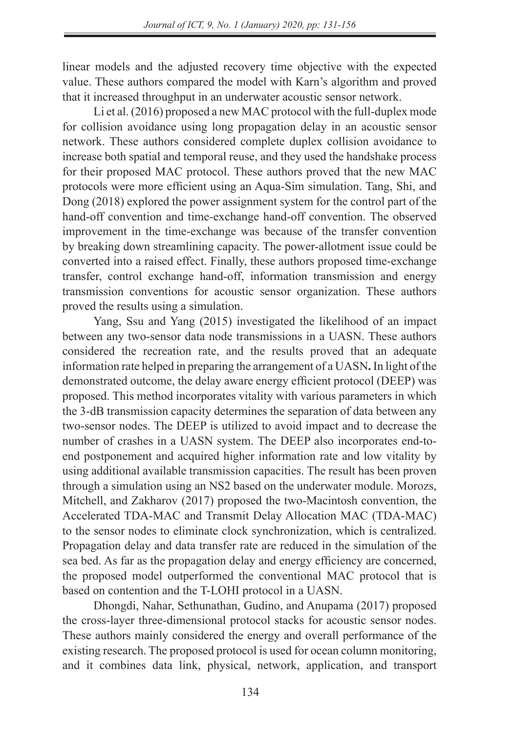linear models and the adjusted recovery time objective with the expected value. These authors compared the model with Karn's algorithm and proved that it increased throughput in an underwater acoustic sensor network.

Li et al. (2016) proposed a new MAC protocol with the full-duplex mode for collision avoidance using long propagation delay in an acoustic sensor network. These authors considered complete duplex collision avoidance to increase both spatial and temporal reuse, and they used the handshake process for their proposed MAC protocol. These authors proved that the new MAC protocols were more efficient using an Aqua-Sim simulation. Tang, Shi, and Dong (2018) explored the power assignment system for the control part of the hand-off convention and time-exchange hand-off convention. The observed improvement in the time-exchange was because of the transfer convention by breaking down streamlining capacity. The power-allotment issue could be converted into a raised effect. Finally, these authors proposed time-exchange transfer, control exchange hand-off, information transmission and energy transmission conventions for acoustic sensor organization. These authors proved the results using a simulation.

Yang, Ssu and Yang (2015) investigated the likelihood of an impact between any two-sensor data node transmissions in a UASN. These authors considered the recreation rate, and the results proved that an adequate information rate helped in preparing the arrangement of a UASN**.** In light of the demonstrated outcome, the delay aware energy efficient protocol (DEEP) was proposed. This method incorporates vitality with various parameters in which the 3-dB transmission capacity determines the separation of data between any two-sensor nodes. The DEEP is utilized to avoid impact and to decrease the number of crashes in a UASN system. The DEEP also incorporates end-toend postponement and acquired higher information rate and low vitality by using additional available transmission capacities. The result has been proven through a simulation using an NS2 based on the underwater module. Morozs, Mitchell, and Zakharov (2017) proposed the two-Macintosh convention, the Accelerated TDA-MAC and Transmit Delay Allocation MAC (TDA-MAC) to the sensor nodes to eliminate clock synchronization, which is centralized. Propagation delay and data transfer rate are reduced in the simulation of the sea bed. As far as the propagation delay and energy efficiency are concerned, the proposed model outperformed the conventional MAC protocol that is based on contention and the T-LOHI protocol in a UASN.

Dhongdi, Nahar, Sethunathan, Gudino, and Anupama (2017) proposed the cross-layer three-dimensional protocol stacks for acoustic sensor nodes. These authors mainly considered the energy and overall performance of the existing research. The proposed protocol is used for ocean column monitoring, and it combines data link, physical, network, application, and transport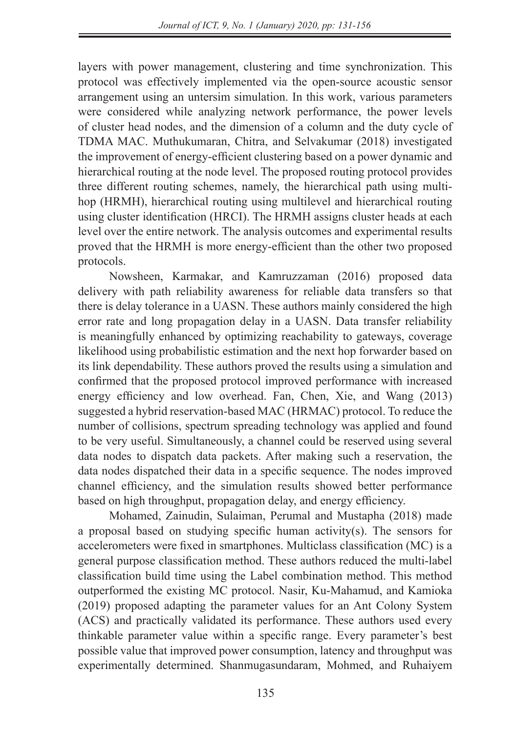layers with power management, clustering and time synchronization. This protocol was effectively implemented via the open-source acoustic sensor arrangement using an untersim simulation. In this work, various parameters were considered while analyzing network performance, the power levels of cluster head nodes, and the dimension of a column and the duty cycle of TDMA MAC. Muthukumaran, Chitra, and Selvakumar (2018) investigated the improvement of energy-efficient clustering based on a power dynamic and hierarchical routing at the node level. The proposed routing protocol provides three different routing schemes, namely, the hierarchical path using multihop (HRMH), hierarchical routing using multilevel and hierarchical routing using cluster identification (HRCI). The HRMH assigns cluster heads at each level over the entire network. The analysis outcomes and experimental results proved that the HRMH is more energy-efficient than the other two proposed protocols.

Nowsheen, Karmakar, and Kamruzzaman (2016) proposed data delivery with path reliability awareness for reliable data transfers so that there is delay tolerance in a UASN. These authors mainly considered the high error rate and long propagation delay in a UASN. Data transfer reliability is meaningfully enhanced by optimizing reachability to gateways, coverage likelihood using probabilistic estimation and the next hop forwarder based on its link dependability. These authors proved the results using a simulation and confirmed that the proposed protocol improved performance with increased energy efficiency and low overhead. Fan, Chen, Xie, and Wang (2013) suggested a hybrid reservation-based MAC (HRMAC) protocol. To reduce the number of collisions, spectrum spreading technology was applied and found to be very useful. Simultaneously, a channel could be reserved using several data nodes to dispatch data packets. After making such a reservation, the data nodes dispatched their data in a specific sequence. The nodes improved channel efficiency, and the simulation results showed better performance based on high throughput, propagation delay, and energy efficiency.

Mohamed, Zainudin, Sulaiman, Perumal and Mustapha (2018) made a proposal based on studying specific human activity(s). The sensors for accelerometers were fixed in smartphones. Multiclass classification (MC) is a general purpose classification method. These authors reduced the multi-label classification build time using the Label combination method. This method outperformed the existing MC protocol. Nasir, Ku-Mahamud, and Kamioka (2019) proposed adapting the parameter values for an Ant Colony System (ACS) and practically validated its performance. These authors used every thinkable parameter value within a specific range. Every parameter's best possible value that improved power consumption, latency and throughput was experimentally determined. Shanmugasundaram, Mohmed, and Ruhaiyem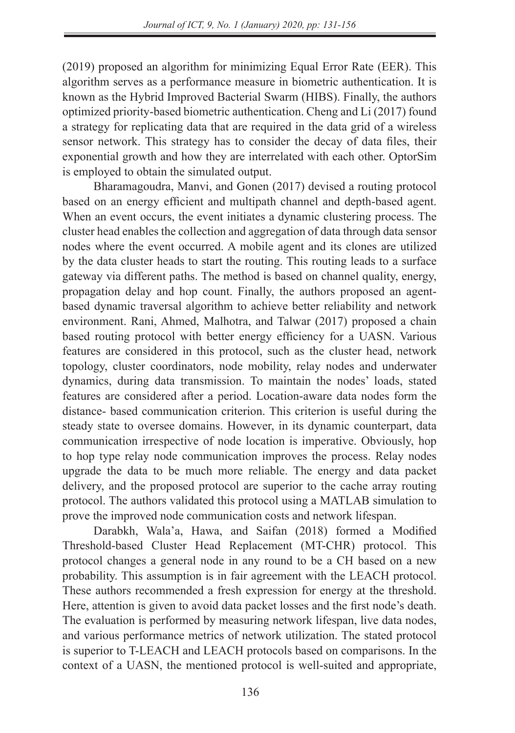(2019) proposed an algorithm for minimizing Equal Error Rate (EER). This algorithm serves as a performance measure in biometric authentication. It is known as the Hybrid Improved Bacterial Swarm (HIBS). Finally, the authors optimized priority-based biometric authentication. Cheng and Li (2017) found a strategy for replicating data that are required in the data grid of a wireless sensor network. This strategy has to consider the decay of data files, their exponential growth and how they are interrelated with each other. OptorSim is employed to obtain the simulated output.

Bharamagoudra, Manvi, and Gonen (2017) devised a routing protocol based on an energy efficient and multipath channel and depth-based agent. When an event occurs, the event initiates a dynamic clustering process. The cluster head enables the collection and aggregation of data through data sensor nodes where the event occurred. A mobile agent and its clones are utilized by the data cluster heads to start the routing. This routing leads to a surface gateway via different paths. The method is based on channel quality, energy, propagation delay and hop count. Finally, the authors proposed an agentbased dynamic traversal algorithm to achieve better reliability and network environment. Rani, Ahmed, Malhotra, and Talwar (2017) proposed a chain based routing protocol with better energy efficiency for a UASN. Various features are considered in this protocol, such as the cluster head, network topology, cluster coordinators, node mobility, relay nodes and underwater dynamics, during data transmission. To maintain the nodes' loads, stated features are considered after a period. Location-aware data nodes form the distance- based communication criterion. This criterion is useful during the steady state to oversee domains. However, in its dynamic counterpart, data communication irrespective of node location is imperative. Obviously, hop to hop type relay node communication improves the process. Relay nodes upgrade the data to be much more reliable. The energy and data packet delivery, and the proposed protocol are superior to the cache array routing protocol. The authors validated this protocol using a MATLAB simulation to prove the improved node communication costs and network lifespan.

Darabkh, Wala'a, Hawa, and Saifan (2018) formed a Modified Threshold-based Cluster Head Replacement (MT-CHR) protocol. This protocol changes a general node in any round to be a CH based on a new probability. This assumption is in fair agreement with the LEACH protocol. These authors recommended a fresh expression for energy at the threshold. Here, attention is given to avoid data packet losses and the first node's death. The evaluation is performed by measuring network lifespan, live data nodes, and various performance metrics of network utilization. The stated protocol is superior to T-LEACH and LEACH protocols based on comparisons. In the context of a UASN, the mentioned protocol is well-suited and appropriate,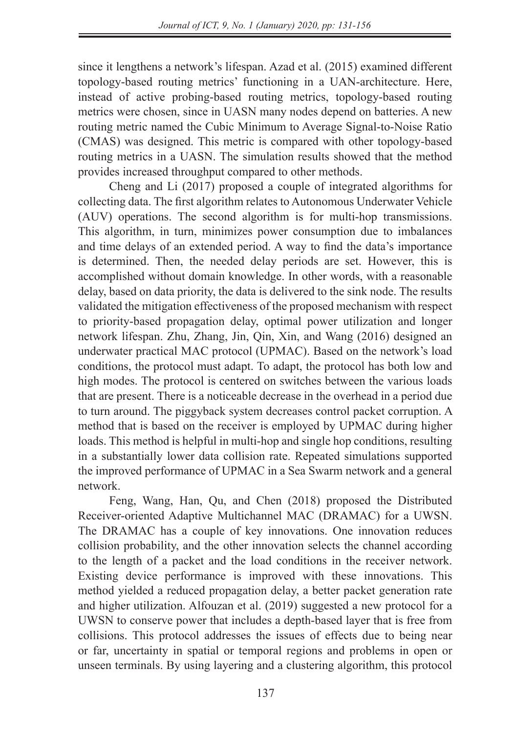since it lengthens a network's lifespan. Azad et al. (2015) examined different topology-based routing metrics' functioning in a UAN-architecture. Here, instead of active probing-based routing metrics, topology-based routing metrics were chosen, since in UASN many nodes depend on batteries. A new routing metric named the Cubic Minimum to Average Signal-to-Noise Ratio (CMAS) was designed. This metric is compared with other topology-based routing metrics in a UASN. The simulation results showed that the method provides increased throughput compared to other methods.

Cheng and Li (2017) proposed a couple of integrated algorithms for collecting data. The first algorithm relates to Autonomous Underwater Vehicle (AUV) operations. The second algorithm is for multi-hop transmissions. This algorithm, in turn, minimizes power consumption due to imbalances and time delays of an extended period. A way to find the data's importance is determined. Then, the needed delay periods are set. However, this is accomplished without domain knowledge. In other words, with a reasonable delay, based on data priority, the data is delivered to the sink node. The results validated the mitigation effectiveness of the proposed mechanism with respect to priority-based propagation delay, optimal power utilization and longer network lifespan. Zhu, Zhang, Jin, Qin, Xin, and Wang (2016) designed an underwater practical MAC protocol (UPMAC). Based on the network's load conditions, the protocol must adapt. To adapt, the protocol has both low and high modes. The protocol is centered on switches between the various loads that are present. There is a noticeable decrease in the overhead in a period due to turn around. The piggyback system decreases control packet corruption. A method that is based on the receiver is employed by UPMAC during higher loads. This method is helpful in multi-hop and single hop conditions, resulting in a substantially lower data collision rate. Repeated simulations supported the improved performance of UPMAC in a Sea Swarm network and a general network.

Feng, Wang, Han, Qu, and Chen (2018) proposed the Distributed Receiver-oriented Adaptive Multichannel MAC (DRAMAC) for a UWSN. The DRAMAC has a couple of key innovations. One innovation reduces collision probability, and the other innovation selects the channel according to the length of a packet and the load conditions in the receiver network. Existing device performance is improved with these innovations. This method yielded a reduced propagation delay, a better packet generation rate and higher utilization. Alfouzan et al. (2019) suggested a new protocol for a UWSN to conserve power that includes a depth-based layer that is free from collisions. This protocol addresses the issues of effects due to being near or far, uncertainty in spatial or temporal regions and problems in open or unseen terminals. By using layering and a clustering algorithm, this protocol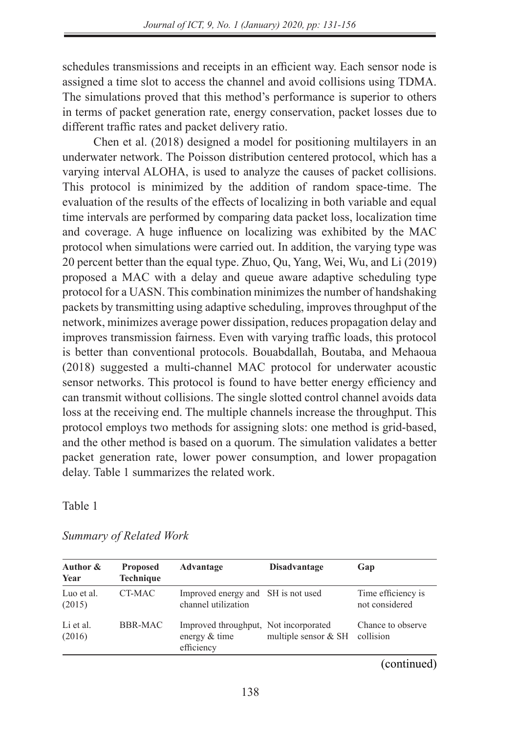schedules transmissions and receipts in an efficient way. Each sensor node is assigned a time slot to access the channel and avoid collisions using TDMA. The simulations proved that this method's performance is superior to others in terms of packet generation rate, energy conservation, packet losses due to different traffic rates and packet delivery ratio.

Chen et al. (2018) designed a model for positioning multilayers in an underwater network. The Poisson distribution centered protocol, which has a varying interval ALOHA, is used to analyze the causes of packet collisions. This protocol is minimized by the addition of random space-time. The evaluation of the results of the effects of localizing in both variable and equal time intervals are performed by comparing data packet loss, localization time and coverage. A huge influence on localizing was exhibited by the MAC protocol when simulations were carried out. In addition, the varying type was 20 percent better than the equal type. Zhuo, Qu, Yang, Wei, Wu, and Li (2019) proposed a MAC with a delay and queue aware adaptive scheduling type protocol for a UASN. This combination minimizes the number of handshaking packets by transmitting using adaptive scheduling, improves throughput of the network, minimizes average power dissipation, reduces propagation delay and improves transmission fairness. Even with varying traffic loads, this protocol is better than conventional protocols. Bouabdallah, Boutaba, and Mehaoua (2018) suggested a multi-channel MAC protocol for underwater acoustic sensor networks. This protocol is found to have better energy efficiency and can transmit without collisions. The single slotted control channel avoids data loss at the receiving end. The multiple channels increase the throughput. This protocol employs two methods for assigning slots: one method is grid-based, and the other method is based on a quorum. The simulation validates a better packet generation rate, lower power consumption, and lower propagation delay. Table 1 summarizes the related work.

Table 1

| Author &<br>Year     | <b>Proposed</b><br><b>Technique</b> | Advantage                                                            | <b>Disadvantage</b>  | Gap                                  |
|----------------------|-------------------------------------|----------------------------------------------------------------------|----------------------|--------------------------------------|
| Luo et al.<br>(2015) | CT-MAC                              | Improved energy and SH is not used<br>channel utilization            |                      | Time efficiency is<br>not considered |
| Li et al.<br>(2016)  | BBR-MAC                             | Improved throughput. Not incorporated<br>energy & time<br>efficiency | multiple sensor & SH | Chance to observe<br>collision       |

*Summary of Related Work*

(continued)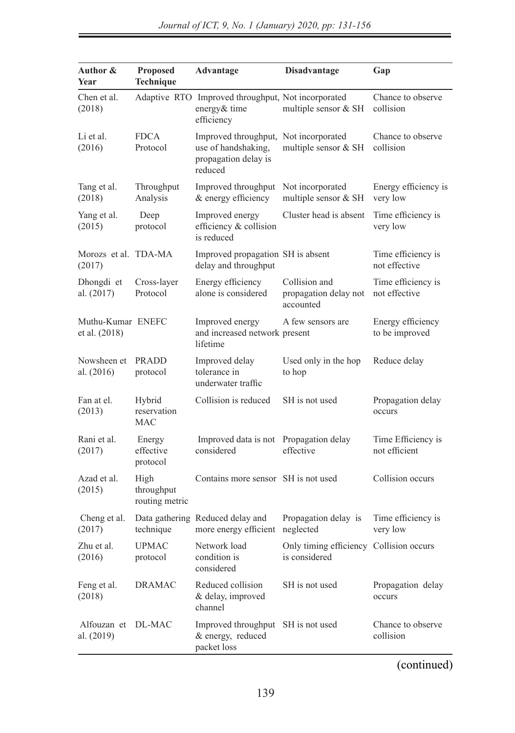| Author &<br>Year                   | <b>Proposed</b><br>Technique         | Advantage                                                                                       | <b>Disadvantage</b>                                      | Gap                                 |
|------------------------------------|--------------------------------------|-------------------------------------------------------------------------------------------------|----------------------------------------------------------|-------------------------------------|
| Chen et al.<br>(2018)              |                                      | Adaptive RTO Improved throughput, Not incorporated<br>energy & time<br>efficiency               | multiple sensor & SH                                     | Chance to observe<br>collision      |
| Li et al.<br>(2016)                | <b>FDCA</b><br>Protocol              | Improved throughput, Not incorporated<br>use of handshaking,<br>propagation delay is<br>reduced | multiple sensor & SH                                     | Chance to observe<br>collision      |
| Tang et al.<br>(2018)              | Throughput<br>Analysis               | Improved throughput<br>& energy efficiency                                                      | Not incorporated<br>multiple sensor & SH                 | Energy efficiency is<br>very low    |
| Yang et al.<br>(2015)              | Deep<br>protocol                     | Improved energy<br>efficiency & collision<br>is reduced                                         | Cluster head is absent                                   | Time efficiency is<br>very low      |
| Morozs et al. TDA-MA<br>(2017)     |                                      | Improved propagation SH is absent<br>delay and throughput                                       |                                                          | Time efficiency is<br>not effective |
| Dhongdi et<br>al. (2017)           | Cross-layer<br>Protocol              | Energy efficiency<br>alone is considered                                                        | Collision and<br>propagation delay not<br>accounted      | Time efficiency is<br>not effective |
| Muthu-Kumar ENEFC<br>et al. (2018) |                                      | Improved energy<br>and increased network present<br>lifetime                                    | A few sensors are                                        | Energy efficiency<br>to be improved |
| Nowsheen et<br>al. (2016)          | PRADD<br>protocol                    | Improved delay<br>tolerance in<br>underwater traffic                                            | Used only in the hop<br>to hop                           | Reduce delay                        |
| Fan at el.<br>(2013)               | Hybrid<br>reservation<br><b>MAC</b>  | Collision is reduced                                                                            | SH is not used                                           | Propagation delay<br>occurs         |
| Rani et al.<br>(2017)              | Energy<br>effective<br>protocol      | Improved data is not<br>considered                                                              | Propagation delay<br>effective                           | Time Efficiency is<br>not efficient |
| Azad et al.<br>(2015)              | High<br>throughput<br>routing metric | Contains more sensor SH is not used                                                             |                                                          | Collision occurs                    |
| Cheng et al.<br>(2017)             | technique                            | Data gathering Reduced delay and<br>more energy efficient                                       | Propagation delay is<br>neglected                        | Time efficiency is<br>very low      |
| Zhu et al.<br>(2016)               | <b>UPMAC</b><br>protocol             | Network load<br>condition is<br>considered                                                      | Only timing efficiency Collision occurs<br>is considered |                                     |
| Feng et al.<br>(2018)              | <b>DRAMAC</b>                        | Reduced collision<br>& delay, improved<br>channel                                               | SH is not used                                           | Propagation delay<br>occurs         |
| Alfouzan et<br>al. (2019)          | DL-MAC                               | Improved throughput<br>& energy, reduced<br>packet loss                                         | SH is not used                                           | Chance to observe<br>collision      |

(continued)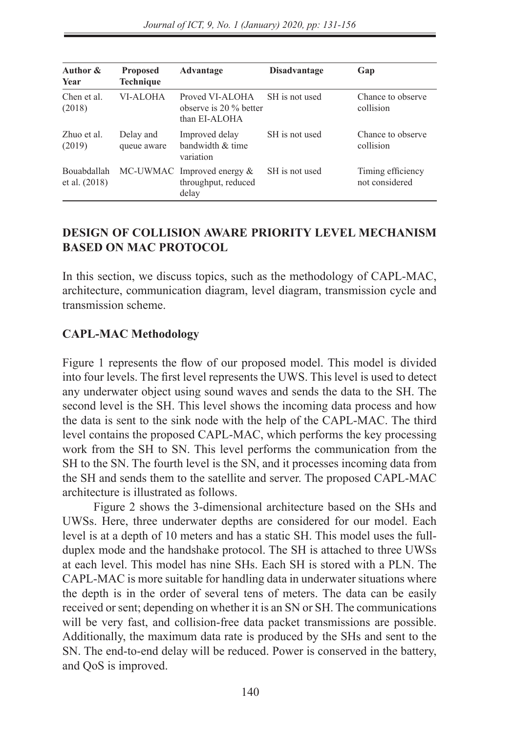| Author &<br>Year             | <b>Proposed</b><br><b>Technique</b> | Advantage                                                    | <b>Disadvantage</b> | Gap                                 |
|------------------------------|-------------------------------------|--------------------------------------------------------------|---------------------|-------------------------------------|
| Chen et al.<br>(2018)        | <b>VI-ALOHA</b>                     | Proved VI-ALOHA<br>observe is 20 % better<br>than EI-ALOHA   | SH is not used      | Chance to observe<br>collision      |
| Zhuo et al.<br>(2019)        | Delay and<br>queue aware            | Improved delay<br>bandwidth & time<br>variation              | SH is not used      | Chance to observe<br>collision      |
| Bouabdallah<br>et al. (2018) |                                     | MC-UWMAC Improved energy $&$<br>throughput, reduced<br>delay | SH is not used      | Timing efficiency<br>not considered |

### **DESIGN OF COLLISION AWARE PRIORITY LEVEL MECHANISM BASED ON MAC PROTOCOL**

In this section, we discuss topics, such as the methodology of CAPL-MAC, architecture, communication diagram, level diagram, transmission cycle and transmission scheme.

### **CAPL-MAC Methodology**

Figure 1 represents the flow of our proposed model. This model is divided into four levels. The first level represents the UWS. This level is used to detect any underwater object using sound waves and sends the data to the SH. The second level is the SH. This level shows the incoming data process and how the data is sent to the sink node with the help of the CAPL-MAC. The third level contains the proposed CAPL-MAC, which performs the key processing work from the SH to SN. This level performs the communication from the SH to the SN. The fourth level is the SN, and it processes incoming data from the SH and sends them to the satellite and server. The proposed CAPL-MAC architecture is illustrated as follows.

Figure 2 shows the 3-dimensional architecture based on the SHs and UWSs. Here, three underwater depths are considered for our model. Each level is at a depth of 10 meters and has a static SH. This model uses the fullduplex mode and the handshake protocol. The SH is attached to three UWSs at each level. This model has nine SHs. Each SH is stored with a PLN. The CAPL-MAC is more suitable for handling data in underwater situations where the depth is in the order of several tens of meters. The data can be easily received or sent; depending on whether it is an SN or SH. The communications will be very fast, and collision-free data packet transmissions are possible. Additionally, the maximum data rate is produced by the SHs and sent to the SN. The end-to-end delay will be reduced. Power is conserved in the battery, and QoS is improved.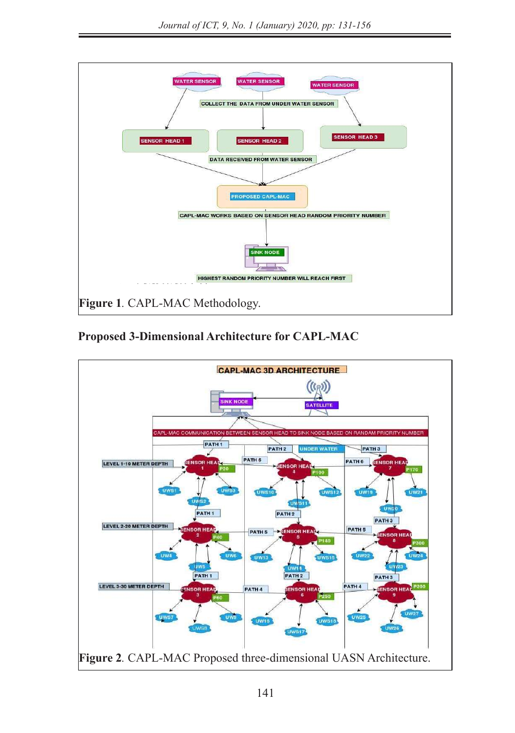

Proposed 3-Dimensional Architecture for **CAPL-MAC** 

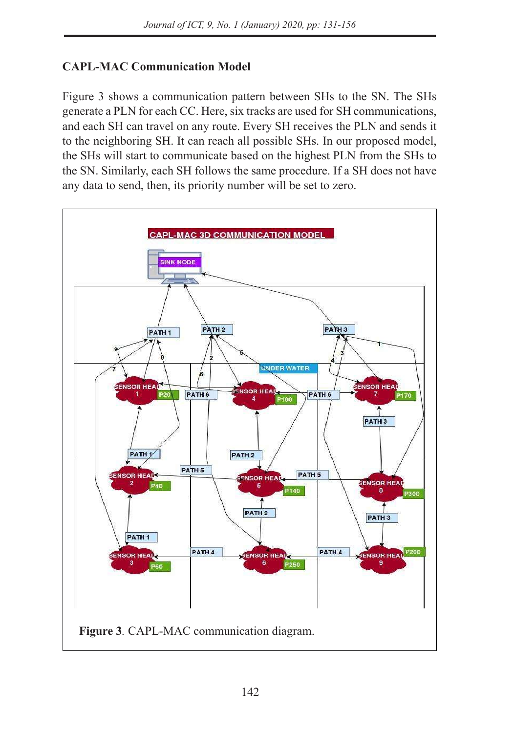# **CAPL-MAC Communication Model**

Figure 3 shows a communication pattern between SHs to the SN. The SHs generate a PLN for each CC. Here, six tracks are used for SH communications, and each SH can travel on any route. Every SH receives the PLN and sends it to the neighboring SH. It can reach all possible SHs. In our proposed model, the SHs will start to communicate based on the highest PLN from the SHs to the SN. Similarly, each SH follows the same procedure. If a SH does not have any data to send, then, its priority number will be set to zero.

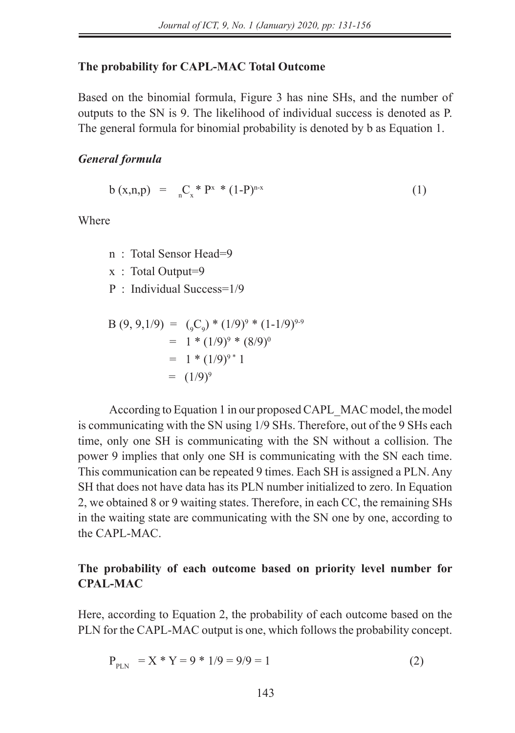#### **The probability for CAPL-MAC Total Outcome**

Based on the binomial formula, Figure 3 has nine SHs, and the number of outputs to the SN is 9. The likelihood of individual success is denoted as P. The general formula for binomial probability is denoted by b as Equation 1.

#### *General formula*

$$
b(x,n,p) = \underset{n}{\Gamma_x}^* P^x * (1-P)^{n-x}
$$
 (1)

Where

- n : Total Sensor Head=9
- x : Total Output=9
- P : Individual Success=1/9

$$
B (9, 9, 1/9) = (_{9}C_{9}) * (1/9)^{9} * (1-1/9)^{9-9}
$$
  
= 1 \* (1/9)^{9} \* (8/9)^{0}  
= 1 \* (1/9)^{9} \* 1  
= (1/9)^{9}

According to Equation 1 in our proposed CAPL\_MAC model, the model is communicating with the SN using 1/9 SHs. Therefore, out of the 9 SHs each time, only one SH is communicating with the SN without a collision. The power 9 implies that only one SH is communicating with the SN each time. This communication can be repeated 9 times. Each SH is assigned a PLN. Any SH that does not have data has its PLN number initialized to zero. In Equation 2, we obtained 8 or 9 waiting states. Therefore, in each CC, the remaining SHs in the waiting state are communicating with the SN one by one, according to the CAPL-MAC.

### **The probability of each outcome based on priority level number for CPAL-MAC**

Here, according to Equation 2, the probability of each outcome based on the PLN for the CAPL-MAC output is one, which follows the probability concept.

$$
P_{PLN} = X * Y = 9 * 1/9 = 9/9 = 1
$$
 (2)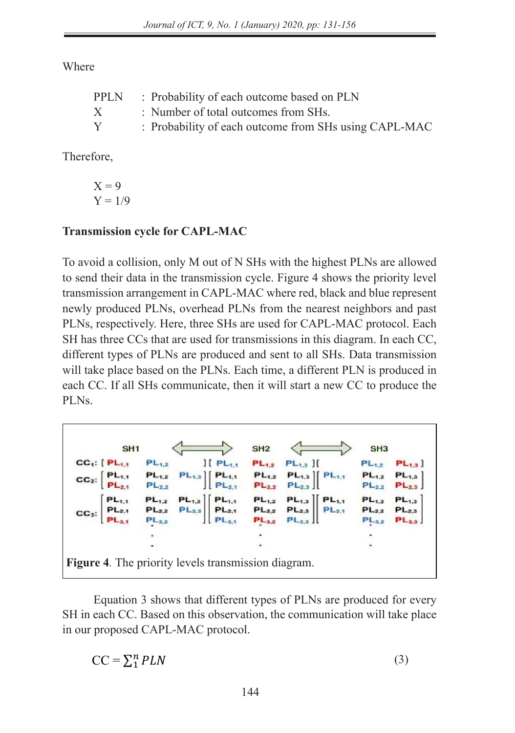Where

| PPLN | : Probability of each outcome based on PLN            |
|------|-------------------------------------------------------|
| X    | : Number of total outcomes from SHs.                  |
| Y    | : Probability of each outcome from SHs using CAPL-MAC |

Therefore,

$$
X = 9
$$
  
 
$$
Y = 1/9
$$

# Transmission cycle for CAPL-MAC

To avoid a collision, only M out of N SHs with the highest PLNs are allowed to send their data in the transmission cycle. Figure 4 shows the priority level transmission arrangement in CAPL-MAC where red, black and blue represent newly produced PLNs, overhead PLNs from the nearest neighbors and past PLNs, respectively. Here, three SHs are used for CAPL-MAC protocol. Each SH has three CCs that are used for transmissions in this diagram. In each CC, different types of PLNs are produced and sent to all SHs. Data transmission will take place based on the PLNs. Each time, a different PLN is produced in each CC. If all SHs communicate, then it will start a new CC to produce the PLNs.  $\mathbf{S}$  data transmission will take place based on the PLNs. Each time, a different PLN is produced in each time, a different PLN is produced in each time, a different PLN is produced in each of  $\mathbf{S}$ 

SH<sub>1</sub> SH<sub>2</sub> SH<sub>3</sub>  $CC_1$ :  $[PL_{1,1}]$  $PL_{1,2}$  $J[PL_{1,1}]$  $PL_{1,2}$  $PL_{1,3}$  ][  $PL_{1,2}$  $PL_{1,3}$  $PL_{1,2}$  $\left|\right|$  PL<sub>1.1</sub>  $PL_{1,3}$  |  $PL_{1,1}$  $PL_{1,2}$  $PL_{1,2}$  $PL_{1,3}$  $CC<sub>2</sub>$ :  $PL_{2,1}$  $PL_{2,3}$  $PL_{23}$  $PL_{1,1}$  $PL_{1,3}$  | PL<sub>1,1</sub>  $PL_{1,3}$  $PL_{1,3}$  $PL_{2,1}$  $PL_{2,3}$  $PL_{2,1}$  $PL_{2,3}$  $PL_{2,3}$ PI  $PL_{3,2}$  $PL_{3,1}$  $PL_{3,2}$  $PL_{3,2}$  $PL_{3,3}$  $PL_{3,3}$ *Figure 4.* The priority levels transmission diagram. **Figure 4***.* The priority levels transmission diagram. *Figure 4.* The priority levels transmission diagram.

Equation 3 shows that different types of PLNs are produced for every SH in each CC. Based on this observation, the communication will take place in our proposed CAPL-MAC protocol.

$$
CC = \sum_{1}^{n} PLN
$$
 (3)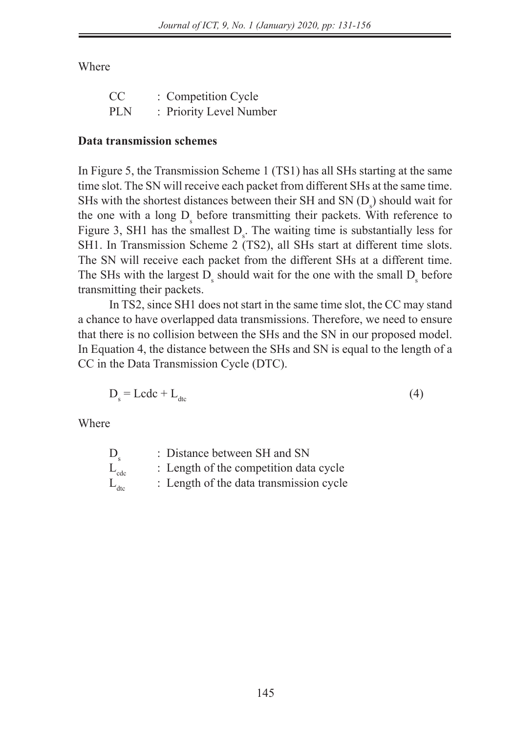Where

| CC         | : Competition Cycle     |
|------------|-------------------------|
| <b>PLN</b> | : Priority Level Number |

### **Data transmission schemes**

In Figure 5, the Transmission Scheme 1 (TS1) has all SHs starting at the same time slot. The SN will receive each packet from different SHs at the same time. SHs with the shortest distances between their SH and SN  $(D_s)$  should wait for the one with a long  $D_s$  before transmitting their packets. With reference to Figure 3, SH1 has the smallest  $D_s$ . The waiting time is substantially less for SH1. In Transmission Scheme 2 (TS2), all SHs start at different time slots. The SN will receive each packet from the different SHs at a different time. The SHs with the largest  $D_s$  should wait for the one with the small  $D_s$  before transmitting their packets.

In TS2, since SH1 does not start in the same time slot, the CC may stand a chance to have overlapped data transmissions. Therefore, we need to ensure that there is no collision between the SHs and the SN in our proposed model. In Equation 4, the distance between the SHs and SN is equal to the length of a CC in the Data Transmission Cycle (DTC).

$$
D_s = L c d c + L_{\text{d}t} \tag{4}
$$

Where

| $D_{\rm c}$      | : Distance between SH and SN            |
|------------------|-----------------------------------------|
| $L_{\text{ede}}$ | : Length of the competition data cycle  |
| $L_{\text{dtc}}$ | : Length of the data transmission cycle |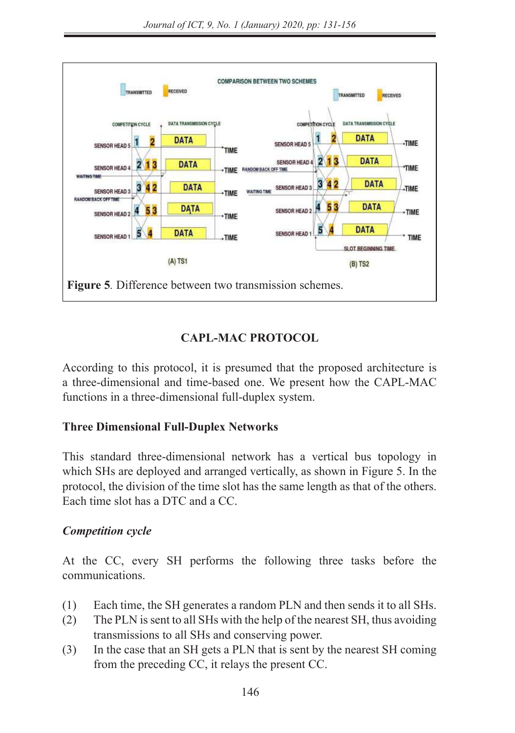

# **CAPL-MAC PROTOCOL**

According to this protocol, it is presumed that the proposed architecture is 16 a three-dimensional and time-based one. We present how the CAPL-MAC functions in a three-dimensional full-duplex system.

# **Three Dimensional Full-Duplex Networks**

Ldtc : Length of the data transmission cycle

This standard three-dimensional network has a vertical bus topology in which SHs are deployed and arranged vertically, as shown in Figure 5. In the protocol, the division of the time slot has the same length as that of the others. Each time slot has a DTC and a CC.

### *Competition cycle*

At the CC, every SH performs the following three tasks before the communications.

- (1) Each time, the SH generates a random PLN and then sends it to all SHs.
- (2) The PLN is sent to all SHs with the help of the nearest SH, thus avoiding transmissions to all SHs and conserving power.
- (3) In the case that an SH gets a PLN that is sent by the nearest SH coming from the preceding CC, it relays the present CC.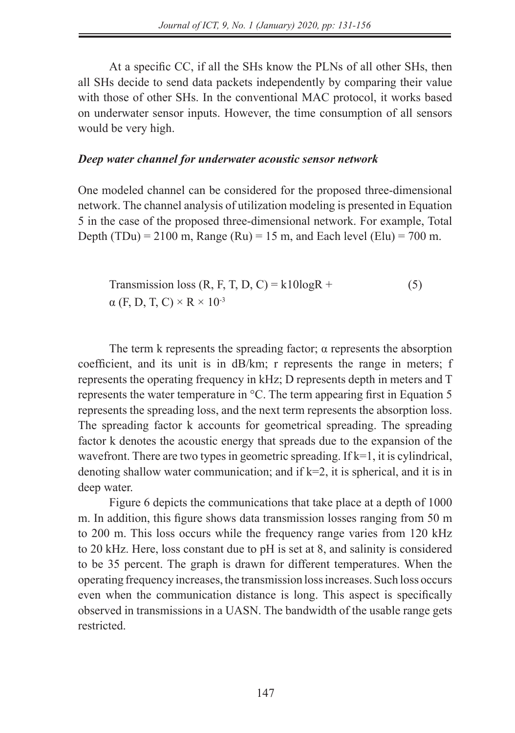At a specific CC, if all the SHs know the PLNs of all other SHs, then all SHs decide to send data packets independently by comparing their value with those of other SHs. In the conventional MAC protocol, it works based on underwater sensor inputs. However, the time consumption of all sensors would be very high.

### *Deep water channel for underwater acoustic sensor network*

One modeled channel can be considered for the proposed three-dimensional network. The channel analysis of utilization modeling is presented in Equation 5 in the case of the proposed three-dimensional network. For example, Total Depth (TDu) = 2100 m, Range (Ru) = 15 m, and Each level (Elu) = 700 m.

Transmission loss (R, F, T, D, C) = k10logR +  
\n
$$
\alpha
$$
 (F, D, T, C) × R × 10<sup>-3</sup> (5)

The term k represents the spreading factor;  $\alpha$  represents the absorption coefficient, and its unit is in dB/km; r represents the range in meters; f represents the operating frequency in kHz; D represents depth in meters and T represents the water temperature in °C. The term appearing first in Equation 5 represents the spreading loss, and the next term represents the absorption loss. The spreading factor k accounts for geometrical spreading. The spreading factor k denotes the acoustic energy that spreads due to the expansion of the wavefront. There are two types in geometric spreading. If k=1, it is cylindrical, denoting shallow water communication; and if  $k=2$ , it is spherical, and it is in deep water.

Figure 6 depicts the communications that take place at a depth of 1000 m. In addition, this figure shows data transmission losses ranging from 50 m to 200 m. This loss occurs while the frequency range varies from 120 kHz to 20 kHz. Here, loss constant due to pH is set at 8, and salinity is considered to be 35 percent. The graph is drawn for different temperatures. When the operating frequency increases, the transmission loss increases. Such loss occurs even when the communication distance is long. This aspect is specifically observed in transmissions in a UASN. The bandwidth of the usable range gets restricted.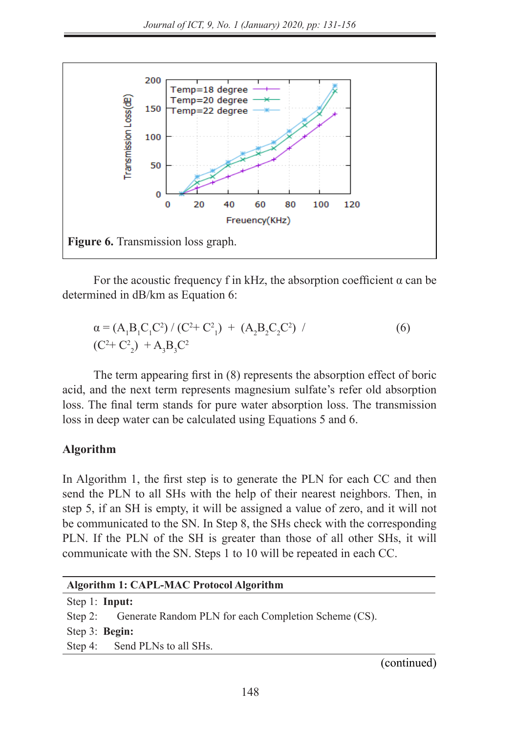

For the acoustic frequency f in kHz, the absorption coefficient  $\alpha$  can be determined in dB/km as Equation 6:

$$
\alpha = (A_1 B_1 C_1 C^2) / (C^2 + C_1^2) + (A_2 B_2 C_2 C^2) / (C^2 + C_2^2) + A_3 B_3 C^2
$$
\n(6)

The term appearing first in (8) represents the absorption effect of boric acid, and the next term represents magnesium sulfate's refer old absorption loss. The final term stands for pure water absorption loss. The transmission loss in deep water can be calculated using Equations 5 and 6.  $\overline{\mathbf{A}}$ 

### **Algorithm**

In Algorithm 1, the first step is to generate the PLN for each CC and then send the PLN to all SHs with the help of their nearest neighbors. Then, in step 5, if an SH is empty, it will be assigned a value of zero, and it will not be communicated to the SN. In Step 8, the SHs check with the corresponding PLN. If the PLN of the SH is greater than those of all other SHs, it will communicate with the SN. Steps 1 to 10 will be repeated in each CC.

| Algorithm 1: CAPL-MAC Protocol Algorithm                     |  |  |
|--------------------------------------------------------------|--|--|
| Step 1: Input:                                               |  |  |
| Step 2: Generate Random PLN for each Completion Scheme (CS). |  |  |
| Step $3:$ Begin:                                             |  |  |
| Step 4: Send PLNs to all SHs.                                |  |  |
| (continued)                                                  |  |  |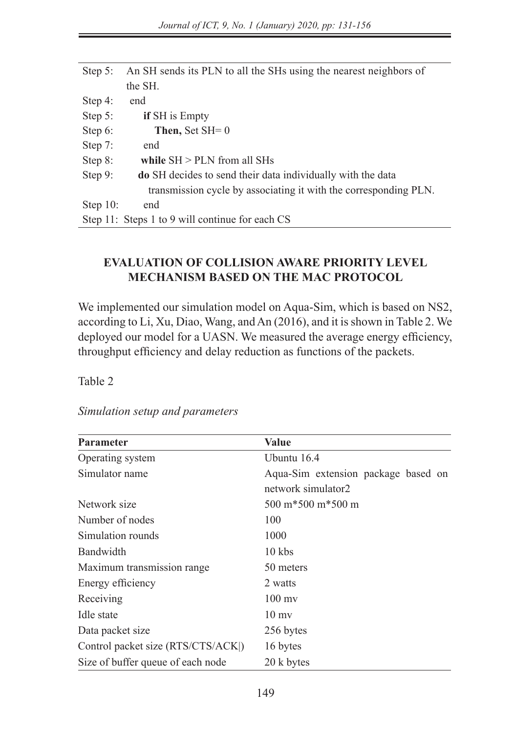| Step $5$ :  | An SH sends its PLN to all the SHs using the nearest neighbors of  |
|-------------|--------------------------------------------------------------------|
|             | the SH.                                                            |
| Step $4$ :  | end                                                                |
| Step $5$ :  | <b>if</b> SH is Empty                                              |
| Step $6$ :  | Then, Set $SH=0$                                                   |
| Step $7:$   | end                                                                |
| Step 8:     | while $SH > PLN$ from all SHs                                      |
| Step $9$ :  | <b>do</b> SH decides to send their data individually with the data |
|             | transmission cycle by associating it with the corresponding PLN.   |
| Step $10$ : | end                                                                |
|             | Step 11: Steps 1 to 9 will continue for each CS                    |

### **EVALUATION OF COLLISION AWARE PRIORITY LEVEL MECHANISM BASED ON THE MAC PROTOCOL**

We implemented our simulation model on Aqua-Sim, which is based on NS2, according to Li, Xu, Diao, Wang, and An (2016), and it is shown in Table 2. We deployed our model for a UASN. We measured the average energy efficiency, throughput efficiency and delay reduction as functions of the packets.

Table 2

*Simulation setup and parameters*

| <b>Parameter</b>                  | <b>Value</b>                                              |
|-----------------------------------|-----------------------------------------------------------|
| Operating system                  | Ubuntu 16.4                                               |
| Simulator name                    | Aqua-Sim extension package based on<br>network simulator2 |
| Network size                      | $500 \text{ m}$ * $500 \text{ m}$ * $500 \text{ m}$       |
| Number of nodes                   | 100                                                       |
| Simulation rounds                 | 1000                                                      |
| Bandwidth                         | 10 kbs                                                    |
| Maximum transmission range        | 50 meters                                                 |
| Energy efficiency                 | 2 watts                                                   |
| Receiving                         | $100 \text{ mv}$                                          |
| Idle state                        | $10 \text{ mV}$                                           |
| Data packet size                  | 256 bytes                                                 |
| Control packet size (RTS/CTS/ACK) | 16 bytes                                                  |
| Size of buffer queue of each node | 20 k bytes                                                |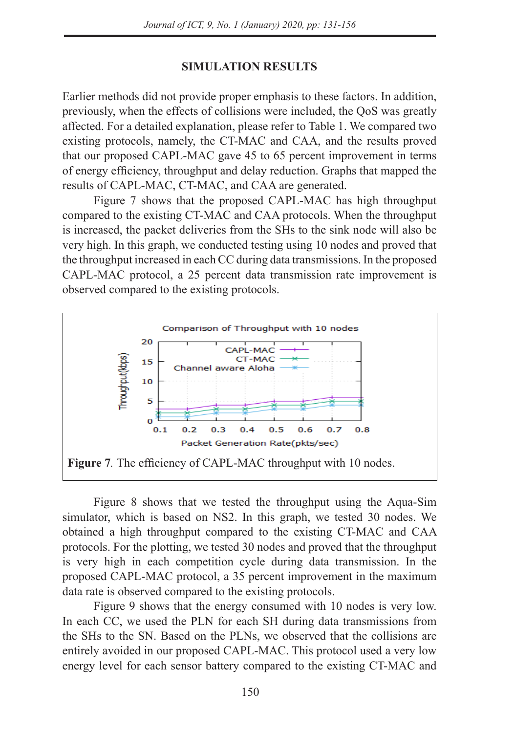### **SIMULATION RESULTS**

Earlier methods did not provide proper emphasis to these factors. In addition, previously, when the effects of collisions were included, the QoS was greatly affected. For a detailed explanation, please refer to Table 1. We compared two existing protocols, namely, the CT-MAC and CAA, and the results proved that our proposed CAPL-MAC gave 45 to 65 percent improvement in terms of energy efficiency, throughput and delay reduction. Graphs that mapped the results of CAPL-MAC, CT-MAC, and CAA are generated.

Figure 7 shows that the proposed CAPL-MAC has high throughput compared to the existing CT-MAC and CAA protocols. When the throughput is increased, the packet deliveries from the SHs to the sink node will also be very high. In this graph, we conducted testing using 10 nodes and proved that the throughput increased in each CC during data transmissions. In the proposed CAPL-MAC protocol, a 25 percent data transmission rate improvement is observed compared to the existing protocols.



Figure 8 shows that we tested the throughput using the Aqua-Sim simulator, which is based on NS2. In this graph, we tested 30 nodes. We obtained a high throughput compared to the existing CT-MAC and CAA protocols. For the plotting, we tested 30 nodes and proved that the throughput is very high in each competition cycle during data transmission. In the is very high in each competition eyere dating data ratifismession. In the proposed CAPL-MAC protocol, a 35 percent improvement in the maximum data rate is observed compared to the existing protocols.

> Figure 9 shows that the energy consumed with 10 nodes is very low. In each CC, we used the PLN for each SH during data transmissions from the SHs to the SN. Based on the PLNs, we observed that the collisions are entirely avoided in our proposed CAPL-MAC. This protocol used a very low energy level for each sensor battery compared to the existing CT-MAC and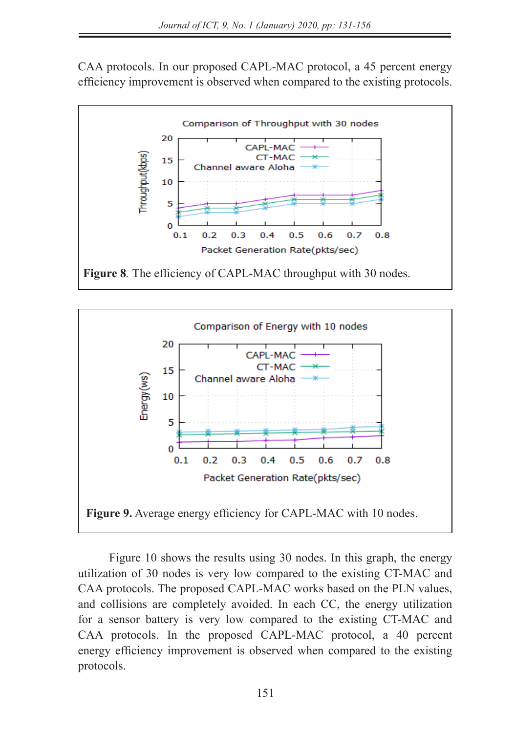CAA protocols. In our proposed CAPL-MAC protocol, a 45 percent energy efficiency improvement is observed when compared to the existing protocols.





Figure 10 shows the results using 30 nodes. In this graph, the energy utilization of 30 nodes is very low compared to the existing CT-MAC and CAA protocols. The proposed CAPL-MAC works based on the PLN values, EAA protocols. The proposed CATE-WAC works based on the TER values, and collisions are completely avoided. In each CC, the energy utilization for a sensor battery is very low compared to the existing CT-MAC and CAA protocols. In the proposed CAPL-MAC protocol, a 40 percent energy efficiency improvement is observed when compared to the existing protocols.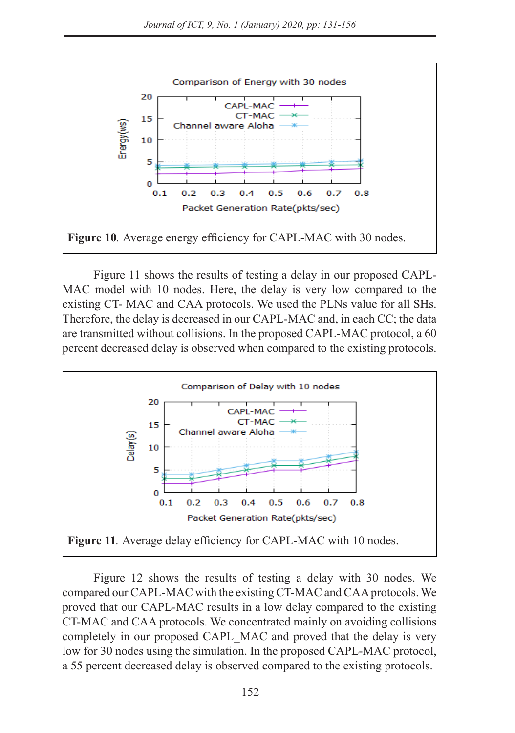

Figure 11 shows the results of testing a delay in our proposed CAPL-MAC model with 10 nodes. Here, the delay is very low compared to the existing CT- MAC and CAA protocols. We used the PLNs value for all SHs. Therefore, the delay is decreased in our CAPL-MAC and, in each CC; the data are transmitted without collisions. In the proposed CAPL-MAC protocol, a 60 percent decreased delay is observed when compared to the existing protocols. THE DELAY IS VECTURED TO THE EXISTENCE AND CALCULATED TO THE EXISTING COMPANY OF  $\frac{1}{2}$ 



Figure 12 shows the results of testing a delay with 30 nodes. We compared our CAPL-MAC with the existing CT-MAC and CAA protocols. We proved that our CAPL-MAC results in a low delay compared to the existing CT-MAC and CAA protocols. We concentrated mainly on avoiding collisions completely in our proposed CAPL\_MAC and proved that the delay is very low for 30 nodes using the simulation. In the proposed CAPL-MAC protocol, a 55 percent decreased delay is observed compared to the existing protocols.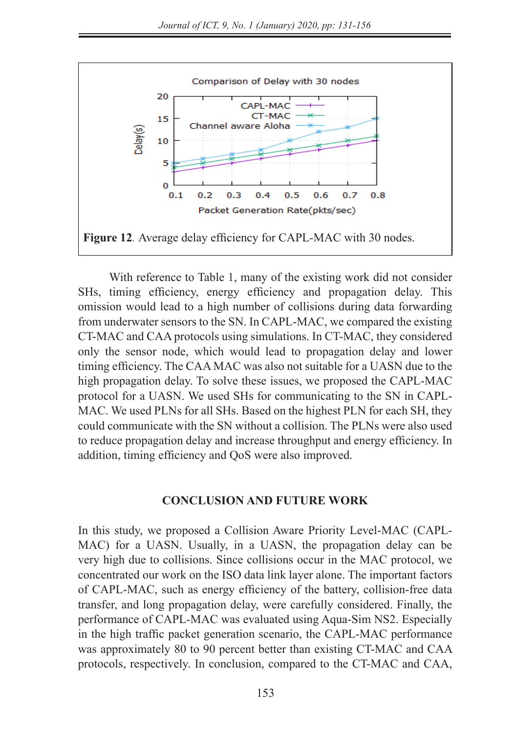

With reference to Table 1, many of the existing work did not consider SHs, timing efficiency, energy efficiency and propagation delay. This omission would lead to a high number of collisions during data forwarding from underwater sensors to the SN. In CAPL-MAC, we compared the existing  $\overline{CD}$  MAC and  $\overline{CD}$  MAC and  $\overline{CD}$  MAC and  $\overline{CD}$ CT-MAC and CAA protocols using simulations. In CT-MAC, they considered only the sensor node, which would lead to propagation delay and lower timing efficiency. The CAA MAC was also not suitable for a UASN due to the high propagation delay. To solve these issues, we proposed the CAPL-MAC protocol for a UASN. We used SHs for communicating to the SN in CAPL-MAC. We used PLNs for all SHs. Based on the highest PLN for each SH, they could communicate with the SN without a collision. The PLNs were also used to reduce propagation delay and increase throughput and energy efficiency. In addition, timing efficiency and QoS were also improved.

### **CONCLUSION AND FUTURE WORK**

In this study, we proposed a Collision Aware Priority Level-MAC (CAPL-MAC) for a UASN. Usually, in a UASN, the propagation delay can be very high due to collisions. Since collisions occur in the MAC protocol, we concentrated our work on the ISO data link layer alone. The important factors of CAPL-MAC, such as energy efficiency of the battery, collision-free data transfer, and long propagation delay, were carefully considered. Finally, the performance of CAPL-MAC was evaluated using Aqua-Sim NS2. Especially in the high traffic packet generation scenario, the CAPL-MAC performance was approximately 80 to 90 percent better than existing CT-MAC and CAA protocols, respectively. In conclusion, compared to the CT-MAC and CAA,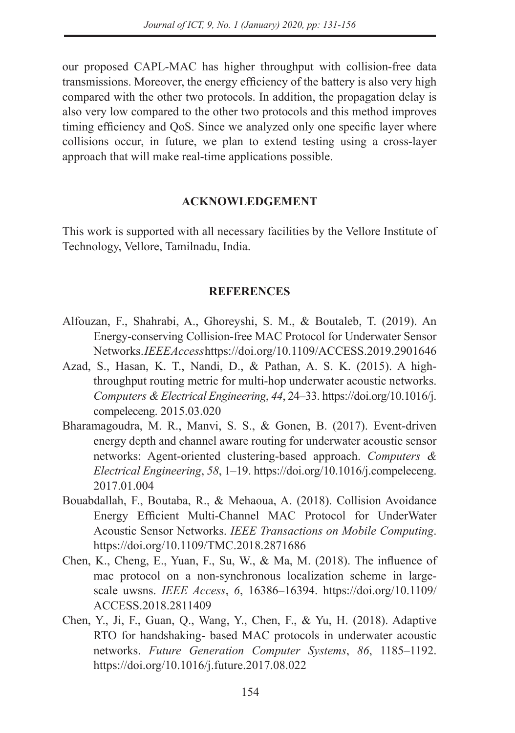our proposed CAPL-MAC has higher throughput with collision-free data transmissions. Moreover, the energy efficiency of the battery is also very high compared with the other two protocols. In addition, the propagation delay is also very low compared to the other two protocols and this method improves timing efficiency and QoS. Since we analyzed only one specific layer where collisions occur, in future, we plan to extend testing using a cross-layer approach that will make real-time applications possible.

### **ACKNOWLEDGEMENT**

This work is supported with all necessary facilities by the Vellore Institute of Technology, Vellore, Tamilnadu, India.

### **REFERENCES**

- Alfouzan, F., Shahrabi, A., Ghoreyshi, S. M., & Boutaleb, T. (2019). An Energy-conserving Collision-free MAC Protocol for Underwater Sensor Networks. *IEEE Access* https://doi.org/10.1109/ACCESS.2019.2901646
- Azad, S., Hasan, K. T., Nandi, D., & Pathan, A. S. K. (2015). A highthroughput routing metric for multi-hop underwater acoustic networks. *Computers & Electrical Engineering*, *44*, 24–33. https://doi.org/10.1016/j. compeleceng. 2015.03.020
- Bharamagoudra, M. R., Manvi, S. S., & Gonen, B. (2017). Event-driven energy depth and channel aware routing for underwater acoustic sensor networks: Agent-oriented clustering-based approach. *Computers & Electrical Engineering*, *58*, 1–19. https://doi.org/10.1016/j.compeleceng. 2017.01.004
- Bouabdallah, F., Boutaba, R., & Mehaoua, A. (2018). Collision Avoidance Energy Efficient Multi-Channel MAC Protocol for UnderWater Acoustic Sensor Networks. *IEEE Transactions on Mobile Computing*. https://doi.org/10.1109/TMC.2018.2871686
- Chen, K., Cheng, E., Yuan, F., Su, W., & Ma, M. (2018). The influence of mac protocol on a non-synchronous localization scheme in largescale uwsns. *IEEE Access*, *6*, 16386–16394. https://doi.org/10.1109/ ACCESS.2018.2811409
- Chen, Y., Ji, F., Guan, Q., Wang, Y., Chen, F., & Yu, H. (2018). Adaptive RTO for handshaking- based MAC protocols in underwater acoustic networks. *Future Generation Computer Systems*, *86*, 1185–1192. https://doi.org/10.1016/j.future.2017.08.022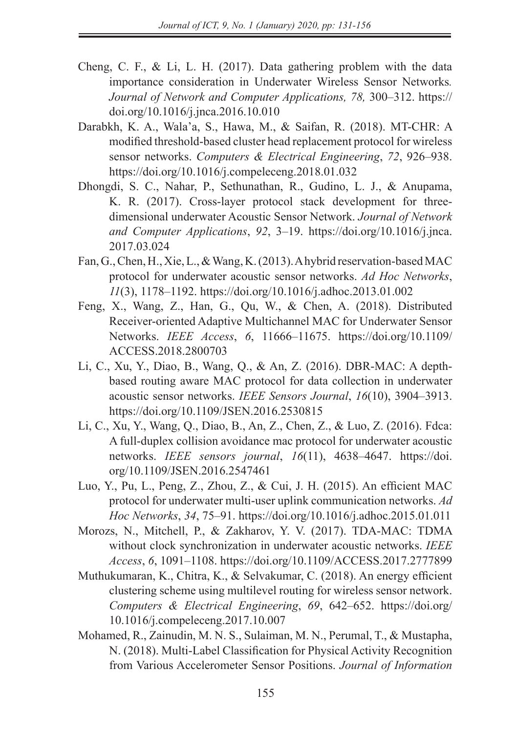- Cheng, C. F., & Li, L. H. (2017). Data gathering problem with the data importance consideration in Underwater Wireless Sensor Networks*. Journal of Network and Computer Applications, 78,* 300–312. https:// doi.org/10.1016/j.jnca.2016.10.010
- Darabkh, K. A., Wala'a, S., Hawa, M., & Saifan, R. (2018). MT-CHR: A modified threshold-based cluster head replacement protocol for wireless sensor networks. *Computers & Electrical Engineering*, *72*, 926–938. https://doi.org/10.1016/j.compeleceng.2018.01.032
- Dhongdi, S. C., Nahar, P., Sethunathan, R., Gudino, L. J., & Anupama, K. R. (2017). Cross-layer protocol stack development for threedimensional underwater Acoustic Sensor Network. *Journal of Network and Computer Applications*, *92*, 3–19. https://doi.org/10.1016/j.jnca. 2017.03.024
- Fan, G., Chen, H., Xie, L., & Wang, K. (2013). A hybrid reservation-based MAC protocol for underwater acoustic sensor networks. *Ad Hoc Networks*, *11*(3), 1178–1192. https://doi.org/10.1016/j.adhoc.2013.01.002
- Feng, X., Wang, Z., Han, G., Qu, W., & Chen, A. (2018). Distributed Receiver-oriented Adaptive Multichannel MAC for Underwater Sensor Networks. *IEEE Access*, *6*, 11666–11675. https://doi.org/10.1109/ ACCESS.2018.2800703
- Li, C., Xu, Y., Diao, B., Wang, Q., & An, Z. (2016). DBR-MAC: A depthbased routing aware MAC protocol for data collection in underwater acoustic sensor networks. *IEEE Sensors Journal*, *16*(10), 3904–3913. https://doi.org/10.1109/JSEN.2016.2530815
- Li, C., Xu, Y., Wang, Q., Diao, B., An, Z., Chen, Z., & Luo, Z. (2016). Fdca: A full-duplex collision avoidance mac protocol for underwater acoustic networks. *IEEE sensors journal*, *16*(11), 4638–4647. https://doi. org/10.1109/JSEN.2016.2547461
- Luo, Y., Pu, L., Peng, Z., Zhou, Z., & Cui, J. H. (2015). An efficient MAC protocol for underwater multi-user uplink communication networks. *Ad Hoc Networks*, *34*, 75–91. https://doi.org/10.1016/j.adhoc.2015.01.011
- Morozs, N., Mitchell, P., & Zakharov, Y. V. (2017). TDA-MAC: TDMA without clock synchronization in underwater acoustic networks. *IEEE Access*, *6*, 1091–1108. https://doi.org/10.1109/ACCESS.2017.2777899
- Muthukumaran, K., Chitra, K., & Selvakumar, C. (2018). An energy efficient clustering scheme using multilevel routing for wireless sensor network. *Computers & Electrical Engineering*, *69*, 642–652. https://doi.org/ 10.1016/j.compeleceng.2017.10.007
- Mohamed, R., Zainudin, M. N. S., Sulaiman, M. N., Perumal, T., & Mustapha, N. (2018). Multi-Label Classification for Physical Activity Recognition from Various Accelerometer Sensor Positions. *Journal of Information*